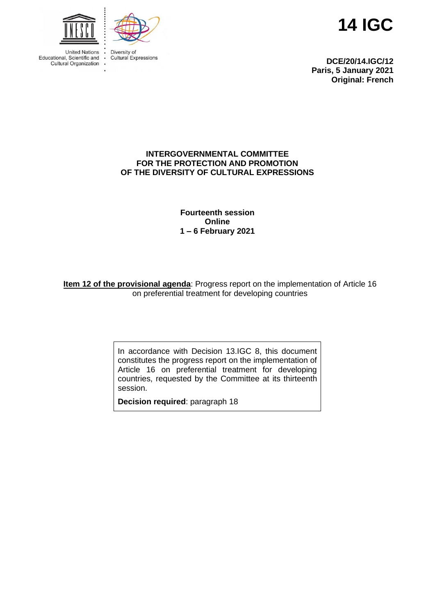

Diversity of Cultural Expressions **14 IGC**

**DCE/20/14.IGC/12 Paris, 5 January 2021 Original: French**

#### **INTERGOVERNMENTAL COMMITTEE FOR THE PROTECTION AND PROMOTION OF THE DIVERSITY OF CULTURAL EXPRESSIONS**

**Fourteenth session Online 1 – 6 February 2021**

**Item 12 of the provisional agenda**: Progress report on the implementation of Article 16 on preferential treatment for developing countries

> In accordance with Decision 13.IGC 8, this document constitutes the progress report on the implementation of Article 16 on preferential treatment for developing countries, requested by the Committee at its thirteenth session.

**Decision required**: paragraph 18

**United Nations** Educational, Scientific and Cultural Organization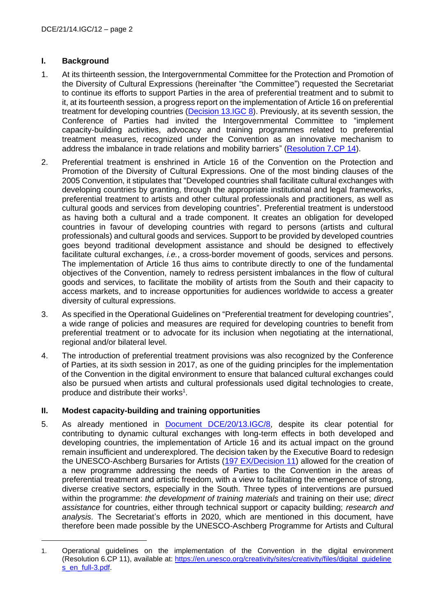## **I. Background**

- 1. At its thirteenth session, the Intergovernmental Committee for the Protection and Promotion of the Diversity of Cultural Expressions (hereinafter "the Committee") requested the Secretariat to continue its efforts to support Parties in the area of preferential treatment and to submit to it, at its fourteenth session, a progress report on the implementation of Article 16 on preferential treatment for developing countries [\(Decision 13.IGC 8\)](https://en.unesco.org/creativity/sites/creativity/files/sessions/13igc_decisions_en.pdf). Previously, at its seventh session, the Conference of Parties had invited the Intergovernmental Committee to "implement capacity-building activities, advocacy and training programmes related to preferential treatment measures, recognized under the Convention as an innovative mechanism to address the imbalance in trade relations and mobility barriers" [\(Resolution 7.CP 14\)](https://en.unesco.org/creativity/sites/creativity/files/sessions/7cp_resolutions_en.pdf).
- 2. Preferential treatment is enshrined in Article 16 of the Convention on the Protection and Promotion of the Diversity of Cultural Expressions. One of the most binding clauses of the 2005 Convention, it stipulates that "Developed countries shall facilitate cultural exchanges with developing countries by granting, through the appropriate institutional and legal frameworks, preferential treatment to artists and other cultural professionals and practitioners, as well as cultural goods and services from developing countries". Preferential treatment is understood as having both a cultural and a trade component. It creates an obligation for developed countries in favour of developing countries with regard to persons (artists and cultural professionals) and cultural goods and services. Support to be provided by developed countries goes beyond traditional development assistance and should be designed to effectively facilitate cultural exchanges, *i.e.*, a cross-border movement of goods, services and persons. The implementation of Article 16 thus aims to contribute directly to one of the fundamental objectives of the Convention, namely to redress persistent imbalances in the flow of cultural goods and services, to facilitate the mobility of artists from the South and their capacity to access markets, and to increase opportunities for audiences worldwide to access a greater diversity of cultural expressions.
- 3. As specified in the Operational Guidelines on "Preferential treatment for developing countries", a wide range of policies and measures are required for developing countries to benefit from preferential treatment or to advocate for its inclusion when negotiating at the international, regional and/or bilateral level.
- 4. The introduction of preferential treatment provisions was also recognized by the Conference of Parties, at its sixth session in 2017, as one of the guiding principles for the implementation of the Convention in the digital environment to ensure that balanced cultural exchanges could also be pursued when artists and cultural professionals used digital technologies to create, produce and distribute their works<sup>1</sup>.

### **II. Modest capacity-building and training opportunities**

5. As already mentioned in [Document DCE/20/13.IGC/8,](https://en.unesco.org/creativity/sites/creativity/files/sessions/13igc_8_preferential_treatment_en.pdf) despite its clear potential for contributing to dynamic cultural exchanges with long-term effects in both developed and developing countries, the implementation of Article 16 and its actual impact on the ground remain insufficient and underexplored. The decision taken by the Executive Board to redesign the UNESCO-Aschberg Bursaries for Artists [\(197 EX/Decision 11\)](file:///C:/Users/l_mayer-robitaille/AppData/Local/Packages/Microsoft.MicrosoftEdge_8wekyb3d8bbwe/TempState/Downloads/831235180eng%20(1).pdf) allowed for the creation of a new programme addressing the needs of Parties to the Convention in the areas of preferential treatment and artistic freedom, with a view to facilitating the emergence of strong, diverse creative sectors, especially in the South. Three types of interventions are pursued within the programme: *the development of training materials* and training on their use; *direct assistance* for countries, either through technical support or capacity building; *research and analysis*. The Secretariat's efforts in 2020, which are mentioned in this document, have therefore been made possible by the UNESCO-Aschberg Programme for Artists and Cultural

<sup>1.</sup> Operational guidelines on the implementation of the Convention in the digital environment (Resolution 6.CP 11), available at: [https://en.unesco.org/creativity/sites/creativity/files/digital\\_guideline](https://en.unesco.org/creativity/sites/creativity/files/digital_guidelines_en_full-3.pdf) [s\\_en\\_full-3.pdf.](https://en.unesco.org/creativity/sites/creativity/files/digital_guidelines_en_full-3.pdf)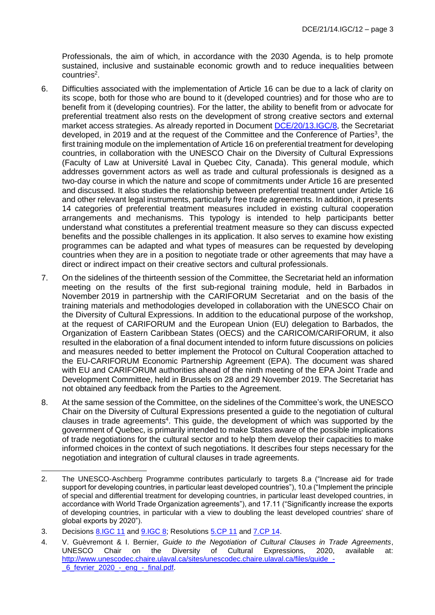Professionals, the aim of which, in accordance with the 2030 Agenda, is to help promote sustained, inclusive and sustainable economic growth and to reduce inequalities between countries<sup>2</sup>.

- 6. Difficulties associated with the implementation of Article 16 can be due to a lack of clarity on its scope, both for those who are bound to it (developed countries) and for those who are to benefit from it (developing countries). For the latter, the ability to benefit from or advocate for preferential treatment also rests on the development of strong creative sectors and external market access strategies. As already reported in Document [DCE/20/13.IGC/8,](https://fr.unesco.org/creativity/sites/creativity/files/sessions/13igc_8_preferential_treatment_en.pdf) the Secretariat developed, in 2019 and at the request of the Committee and the Conference of Parties<sup>3</sup>, the first training module on the implementation of Article 16 on preferential treatment for developing countries, in collaboration with the UNESCO Chair on the Diversity of Cultural Expressions (Faculty of Law at Université Laval in Quebec City, Canada). This general module, which addresses government actors as well as trade and cultural professionals is designed as a two-day course in which the nature and scope of commitments under Article 16 are presented and discussed. It also studies the relationship between preferential treatment under Article 16 and other relevant legal instruments, particularly free trade agreements. In addition, it presents 14 categories of preferential treatment measures included in existing cultural cooperation arrangements and mechanisms. This typology is intended to help participants better understand what constitutes a preferential treatment measure so they can discuss expected benefits and the possible challenges in its application. It also serves to examine how existing programmes can be adapted and what types of measures can be requested by developing countries when they are in a position to negotiate trade or other agreements that may have a direct or indirect impact on their creative sectors and cultural professionals.
- 7. On the sidelines of the thirteenth session of the Committee, the Secretariat held an information meeting on the results of the first sub-regional training module, held in Barbados in November 2019 in partnership with the CARIFORUM Secretariat and on the basis of the training materials and methodologies developed in collaboration with the UNESCO Chair on the Diversity of Cultural Expressions. In addition to the educational purpose of the workshop, at the request of CARIFORUM and the European Union (EU) delegation to Barbados, the Organization of Eastern Caribbean States (OECS) and the CARICOM/CARIFORUM, it also resulted in the elaboration of a final document intended to inform future discussions on policies and measures needed to better implement the Protocol on Cultural Cooperation attached to the EU-CARIFORUM Economic Partnership Agreement (EPA). The document was shared with EU and CARIFORUM authorities ahead of the ninth meeting of the EPA Joint Trade and Development Committee, held in Brussels on 28 and 29 November 2019. The Secretariat has not obtained any feedback from the Parties to the Agreement.
- 8. At the same session of the Committee, on the sidelines of the Committee's work, the UNESCO Chair on the Diversity of Cultural Expressions presented a guide to the negotiation of cultural clauses in trade agreements<sup>4</sup>. This guide, the development of which was supported by the government of Quebec, is primarily intended to make States aware of the possible implications of trade negotiations for the cultural sector and to help them develop their capacities to make informed choices in the context of such negotiations. It describes four steps necessary for the negotiation and integration of cultural clauses in trade agreements.

<sup>2.</sup> The UNESCO-Aschberg Programme contributes particularly to targets 8.a ("Increase aid for trade support for developing countries, in particular least developed countries"), 10.a ("Implement the principle of special and differential treatment for developing countries, in particular least developed countries, in accordance with World Trade Organization agreements"), and 17.11 ("Significantly increase the exports of developing countries, in particular with a view to doubling the least developed countries' share of global exports by 2020").

<sup>3.</sup> Decisions [8.IGC 11](https://en.unesco.org/creativity/sites/creativity/files/sessions/8igc-decisions-en_final_0.pdf) and [9.IGC 8;](https://en.unesco.org/creativity/sites/creativity/files/sessions/9igc_decisions_en_final.pdf) Resolutions [5.CP 11](https://en.unesco.org/creativity/sites/creativity/files/sessions/resolutions_5cp_en.pdf) and [7.CP 14.](https://en.unesco.org/creativity/sites/creativity/files/sessions/7cp_resolutions_en.pdf)

<sup>4.</sup> V. Guèvremont & I. Bernier, *Guide to the Negotiation of Cultural Clauses in Trade Agreements*, UNESCO Chair on the Diversity of Cultural Expressions, 2020, available at: http://www.unescodec.chaire.ulaval.ca/sites/unescodec.chaire.ulaval.ca/files/quide\_-6<sup>fevrier</sup> 2020 - eng - final.pdf.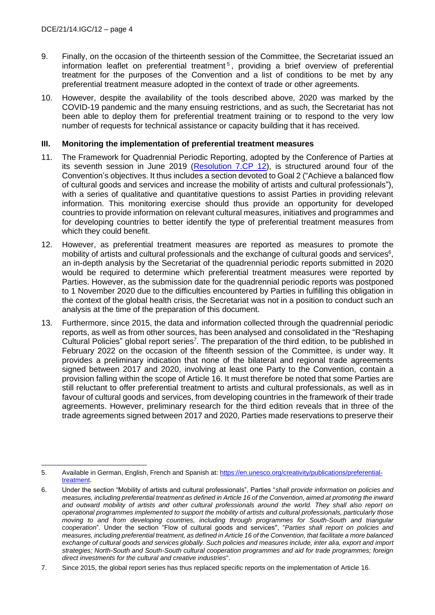- 9. Finally, on the occasion of the thirteenth session of the Committee, the Secretariat issued an information leaflet on preferential treatment<sup>5</sup>, providing a brief overview of preferential treatment for the purposes of the Convention and a list of conditions to be met by any preferential treatment measure adopted in the context of trade or other agreements.
- 10. However, despite the availability of the tools described above, 2020 was marked by the COVID-19 pandemic and the many ensuing restrictions, and as such, the Secretariat has not been able to deploy them for preferential treatment training or to respond to the very low number of requests for technical assistance or capacity building that it has received.

#### **III. Monitoring the implementation of preferential treatment measures**

- 11. The Framework for Quadrennial Periodic Reporting, adopted by the Conference of Parties at its seventh session in June 2019 [\(Resolution 7.CP 12\)](https://en.unesco.org/creativity/sites/creativity/files/sessions/7cp_resolutions_en.pdf), is structured around four of the Convention's objectives. It thus includes a section devoted to Goal 2 ("Achieve a balanced flow of cultural goods and services and increase the mobility of artists and cultural professionals"), with a series of qualitative and quantitative questions to assist Parties in providing relevant information. This monitoring exercise should thus provide an opportunity for developed countries to provide information on relevant cultural measures, initiatives and programmes and for developing countries to better identify the type of preferential treatment measures from which they could benefit.
- 12. However, as preferential treatment measures are reported as measures to promote the mobility of artists and cultural professionals and the exchange of cultural goods and services $6$ , an in-depth analysis by the Secretariat of the quadrennial periodic reports submitted in 2020 would be required to determine which preferential treatment measures were reported by Parties. However, as the submission date for the quadrennial periodic reports was postponed to 1 November 2020 due to the difficulties encountered by Parties in fulfilling this obligation in the context of the global health crisis, the Secretariat was not in a position to conduct such an analysis at the time of the preparation of this document.
- 13. Furthermore, since 2015, the data and information collected through the quadrennial periodic reports, as well as from other sources, has been analysed and consolidated in the "Reshaping Cultural Policies" global report series<sup>7</sup>. The preparation of the third edition, to be published in February 2022 on the occasion of the fifteenth session of the Committee, is under way. It provides a preliminary indication that none of the bilateral and regional trade agreements signed between 2017 and 2020, involving at least one Party to the Convention, contain a provision falling within the scope of Article 16. It must therefore be noted that some Parties are still reluctant to offer preferential treatment to artists and cultural professionals, as well as in favour of cultural goods and services, from developing countries in the framework of their trade agreements. However, preliminary research for the third edition reveals that in three of the trade agreements signed between 2017 and 2020, Parties made reservations to preserve their

<sup>5.</sup> Available in German, English, French and Spanish at: [https://en.unesco.org/creativity/publications/preferential](https://en.unesco.org/creativity/publications/preferential-treatment)[treatment.](https://en.unesco.org/creativity/publications/preferential-treatment)

<sup>6.</sup> Under the section "Mobility of artists and cultural professionals", Parties "*shall provide information on policies and measures, including preferential treatment as defined in Article 16 of the Convention, aimed at promoting the inward and outward mobility of artists and other cultural professionals around the world. They shall also report on operational programmes implemented to support the mobility of artists and cultural professionals, particularly those moving to and from developing countries, including through programmes for South-South and triangular cooperation*". Under the section "Flow of cultural goods and services", "*Parties shall report on policies and measures, including preferential treatment, as defined in Article 16 of the Convention, that facilitate a more balanced*  exchange of cultural goods and services globally. Such policies and measures include, inter alia, export and import *strategies; North-South and South-South cultural cooperation programmes and aid for trade programmes; foreign direct investments for the cultural and creative industries*".

<sup>7.</sup> Since 2015, the global report series has thus replaced specific reports on the implementation of Article 16.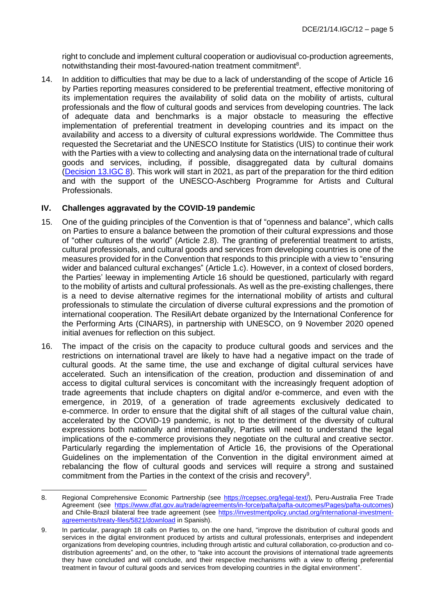right to conclude and implement cultural cooperation or audiovisual co-production agreements, notwithstanding their most-favoured-nation treatment commitment<sup>8</sup>.

14. In addition to difficulties that may be due to a lack of understanding of the scope of Article 16 by Parties reporting measures considered to be preferential treatment, effective monitoring of its implementation requires the availability of solid data on the mobility of artists, cultural professionals and the flow of cultural goods and services from developing countries. The lack of adequate data and benchmarks is a major obstacle to measuring the effective implementation of preferential treatment in developing countries and its impact on the availability and access to a diversity of cultural expressions worldwide. The Committee thus requested the Secretariat and the UNESCO Institute for Statistics (UIS) to continue their work with the Parties with a view to collecting and analysing data on the international trade of cultural goods and services, including, if possible, disaggregated data by cultural domains [\(Decision](https://fr.unesco.org/creativity/sites/creativity/files/sessions/13igc_decisions_en.pdf) 13.IGC 8). This work will start in 2021, as part of the preparation for the third edition and with the support of the UNESCO-Aschberg Programme for Artists and Cultural Professionals.

### **IV. Challenges aggravated by the COVID-19 pandemic**

- 15. One of the guiding principles of the Convention is that of "openness and balance", which calls on Parties to ensure a balance between the promotion of their cultural expressions and those of "other cultures of the world" (Article 2.8). The granting of preferential treatment to artists, cultural professionals, and cultural goods and services from developing countries is one of the measures provided for in the Convention that responds to this principle with a view to "ensuring wider and balanced cultural exchanges" (Article 1.c). However, in a context of closed borders, the Parties' leeway in implementing Article 16 should be questioned, particularly with regard to the mobility of artists and cultural professionals. As well as the pre-existing challenges, there is a need to devise alternative regimes for the international mobility of artists and cultural professionals to stimulate the circulation of diverse cultural expressions and the promotion of international cooperation. The ResiliArt debate organized by the International Conference for the Performing Arts (CINARS), in partnership with UNESCO, on 9 November 2020 opened initial avenues for reflection on this subject.
- 16. The impact of the crisis on the capacity to produce cultural goods and services and the restrictions on international travel are likely to have had a negative impact on the trade of cultural goods. At the same time, the use and exchange of digital cultural services have accelerated. Such an intensification of the creation, production and dissemination of and access to digital cultural services is concomitant with the increasingly frequent adoption of trade agreements that include chapters on digital and/or e-commerce, and even with the emergence, in 2019, of a generation of trade agreements exclusively dedicated to e-commerce. In order to ensure that the digital shift of all stages of the cultural value chain, accelerated by the COVID-19 pandemic, is not to the detriment of the diversity of cultural expressions both nationally and internationally, Parties will need to understand the legal implications of the e-commerce provisions they negotiate on the cultural and creative sector. Particularly regarding the implementation of Article 16, the provisions of the Operational Guidelines on the implementation of the Convention in the digital environment aimed at rebalancing the flow of cultural goods and services will require a strong and sustained commitment from the Parties in the context of the crisis and recovery<sup>9</sup>.

<sup>8.</sup> Regional Comprehensive Economic Partnership (see [https://rcepsec.org/legal-text/\)](https://rcepsec.org/legal-text/), Peru-Australia Free Trade Agreement (see [https://www.dfat.gov.au/trade/agreements/in-force/pafta/pafta-outcomes/Pages/pafta-outcomes\)](https://www.dfat.gov.au/trade/agreements/in-force/pafta/pafta-outcomes/Pages/pafta-outcomes) and Chile-Brazil bilateral free trade agreement (see [https://investmentpolicy.unctad.org/international-investment](https://investmentpolicy.unctad.org/international-investment-agreements/treaty-files/5821/download)[agreements/treaty-files/5821/download](https://investmentpolicy.unctad.org/international-investment-agreements/treaty-files/5821/download) in Spanish).

<sup>9.</sup> In particular, paragraph 18 calls on Parties to, on the one hand, "improve the distribution of cultural goods and services in the digital environment produced by artists and cultural professionals, enterprises and independent organizations from developing countries, including through artistic and cultural collaboration, co-production and codistribution agreements" and, on the other, to "take into account the provisions of international trade agreements they have concluded and will conclude, and their respective mechanisms with a view to offering preferential treatment in favour of cultural goods and services from developing countries in the digital environment".